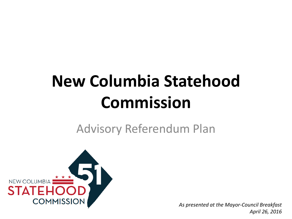# **New Columbia Statehood Commission**

Advisory Referendum Plan



1 *April 26, 2016As presented at the Mayor-Council Breakfast*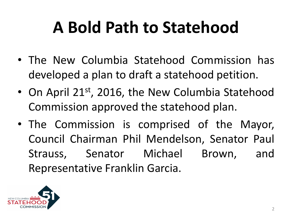## **A Bold Path to Statehood**

- The New Columbia Statehood Commission has developed a plan to draft a statehood petition.
- On April 21st, 2016, the New Columbia Statehood Commission approved the statehood plan.
- The Commission is comprised of the Mayor, Council Chairman Phil Mendelson, Senator Paul Strauss, Senator Michael Brown, and Representative Franklin Garcia.

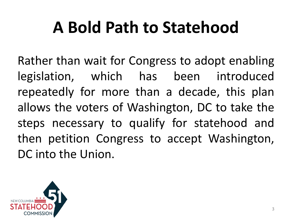### **A Bold Path to Statehood**

Rather than wait for Congress to adopt enabling legislation, which has been introduced repeatedly for more than a decade, this plan allows the voters of Washington, DC to take the steps necessary to qualify for statehood and then petition Congress to accept Washington, DC into the Union.

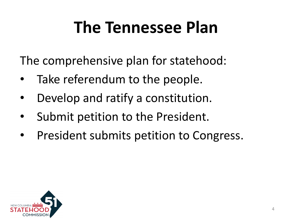#### **The Tennessee Plan**

The comprehensive plan for statehood:

- Take referendum to the people.
- Develop and ratify a constitution.
- Submit petition to the President.
- President submits petition to Congress.

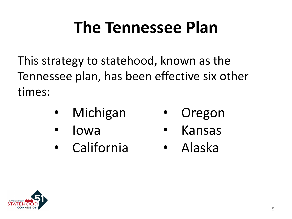#### **The Tennessee Plan**

This strategy to statehood, known as the Tennessee plan, has been effective six other times:

- **Michigan**
- Iowa **Kansas**

**Oregon** 

**California** • Alaska

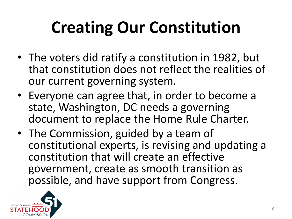# **Creating Our Constitution**

- The voters did ratify a constitution in 1982, but that constitution does not reflect the realities of our current governing system.
- Everyone can agree that, in order to become a state, Washington, DC needs a governing document to replace the Home Rule Charter.
- The Commission, guided by a team of constitutional experts, is revising and updating a constitution that will create an effective government, create as smooth transition as possible, and have support from Congress.

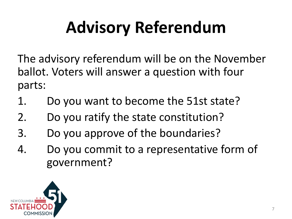# **Advisory Referendum**

The advisory referendum will be on the November ballot. Voters will answer a question with four parts:

- 1. Do you want to become the 51st state?
- 2. Do you ratify the state constitution?
- 3. Do you approve of the boundaries?
- 4. Do you commit to a representative form of government?

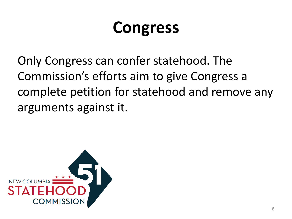#### **Congress**

Only Congress can confer statehood. The Commission's efforts aim to give Congress a complete petition for statehood and remove any arguments against it.

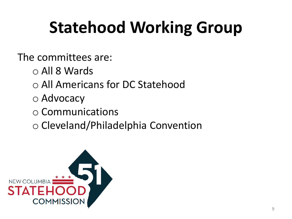# **Statehood Working Group**

The committees are:

- o All 8 Wards
- o All Americans for DC Statehood
- o Advocacy
- o Communications
- o Cleveland/Philadelphia Convention